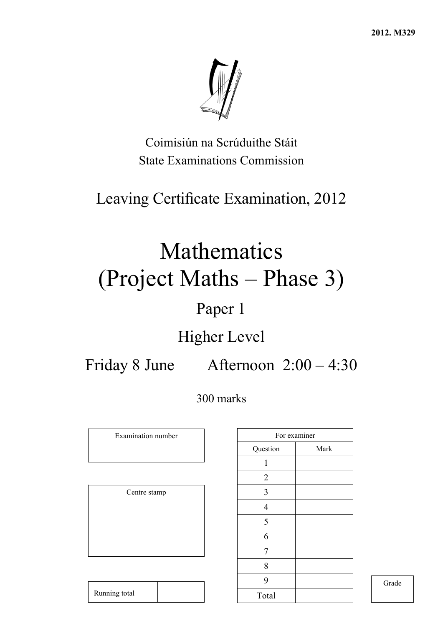**2012. M329** 



Coimisiún na Scrúduithe Stáit State Examinations Commission

# Leaving Certificate Examination, 2012

# Mathematics (Project Maths – Phase 3)

# Paper 1

# Higher Level

Friday 8 June Afternoon 2:00 – 4:30

300 marks

Examination number

Centre stamp

|                | For examiner |
|----------------|--------------|
| Question       | Mark         |
| 1              |              |
| $\overline{2}$ |              |
| 3              |              |
| $\overline{4}$ |              |
| 5              |              |
| 6              |              |
| 7              |              |
| 8              |              |
| 9              |              |
| Total          |              |

Grade

| Running total |
|---------------|
|---------------|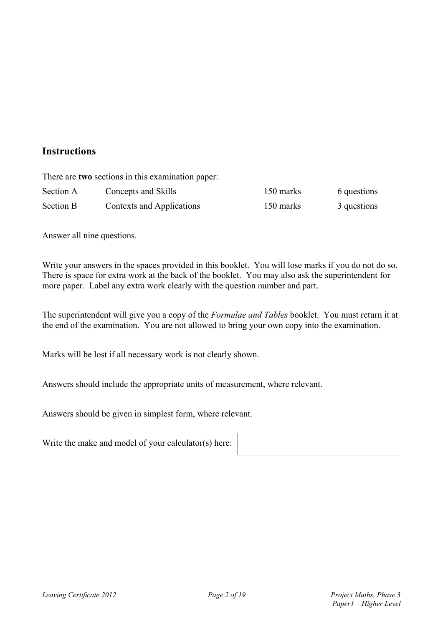### **Instructions**

|           | There are two sections in this examination paper: |           |             |
|-----------|---------------------------------------------------|-----------|-------------|
| Section A | Concepts and Skills                               | 150 marks | 6 questions |
| Section B | Contexts and Applications                         | 150 marks | 3 questions |

Answer all nine questions.

Write your answers in the spaces provided in this booklet. You will lose marks if you do not do so. There is space for extra work at the back of the booklet. You may also ask the superintendent for more paper. Label any extra work clearly with the question number and part.

The superintendent will give you a copy of the *Formulae and Tables* booklet. You must return it at the end of the examination. You are not allowed to bring your own copy into the examination.

Marks will be lost if all necessary work is not clearly shown.

Answers should include the appropriate units of measurement, where relevant.

Answers should be given in simplest form, where relevant.

Write the make and model of your calculator(s) here: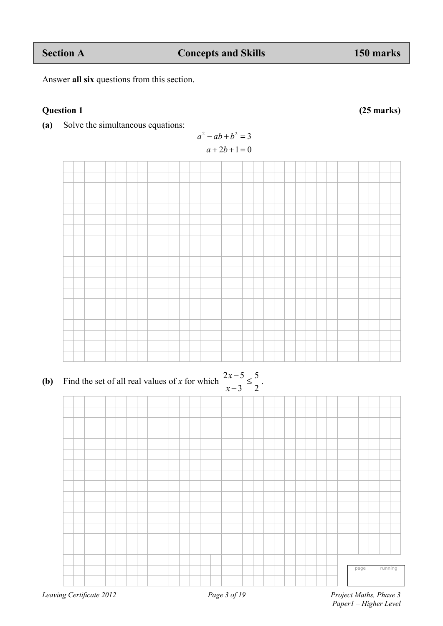**(a)** Solve the simultaneous equations:

Answer **all six** questions from this section.

$$
a2 - ab + b2 = 3
$$
  

$$
a + 2b + 1 = 0
$$

**(b)** Find the set of all real values of *x* for which  $\frac{2x-5}{2} \le \frac{5}{3}$  $3^{\circ}2$ *x*  $\frac{2x-5}{x-3} \leq \frac{5}{2}$ .



page running

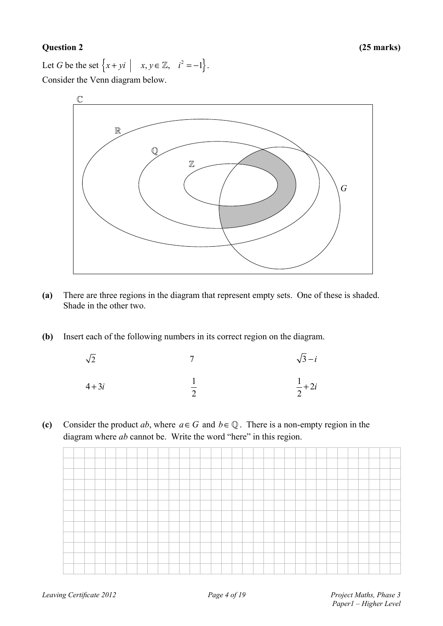### **Question 2 (25 marks)**

Let *G* be the set  $\{x + yi \mid x, y \in \mathbb{Z}, i^2 = -1\}.$ Consider the Venn diagram below.



- **(a)** There are three regions in the diagram that represent empty sets. One of these is shaded. Shade in the other two.
- **(b)** Insert each of the following numbers in its correct region on the diagram.

| $\sqrt{2}$ | $\sqrt{3}-i$   |
|------------|----------------|
| $4+3i$     | $rac{1}{2}+2i$ |

**(c)** Consider the product *ab*, where  $a \in G$  and  $b \in \mathbb{Q}$ . There is a non-empty region in the diagram where *ab* cannot be. Write the word "here" in this region.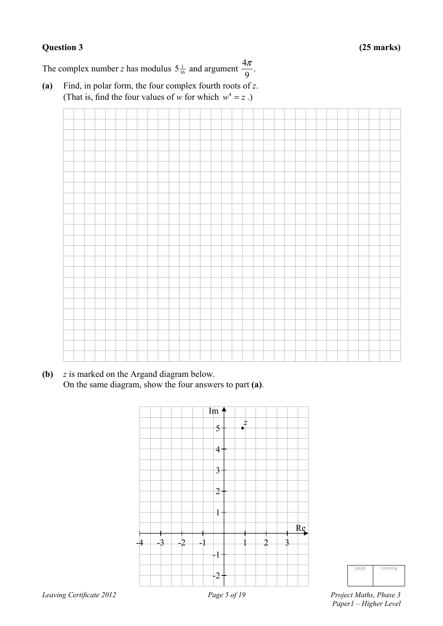The complex number *z* has modulus  $5\frac{1}{16}$  and argument  $\frac{4}{9}$  $\frac{\pi}{\pi}$ .

**(a)** Find, in polar form, the four complex fourth roots of *z*. (That is, find the four values of *w* for which  $w^4 = z$ .)

**(b)** *z* is marked on the Argand diagram below. On the same diagram, show the four answers to part **(a)**.



page running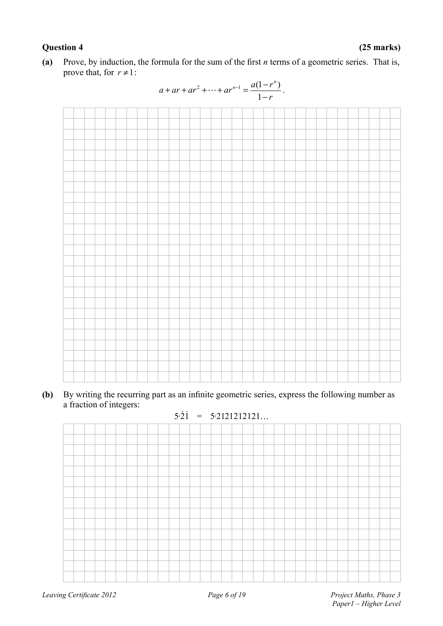### **Question 4 (25 marks)**

**(a)** Prove, by induction, the formula for the sum of the first *n* terms of a geometric series. That is, prove that, for  $r \neq 1$ :



**(b)** By writing the recurring part as an infinite geometric series, express the following number as a fraction of integers:

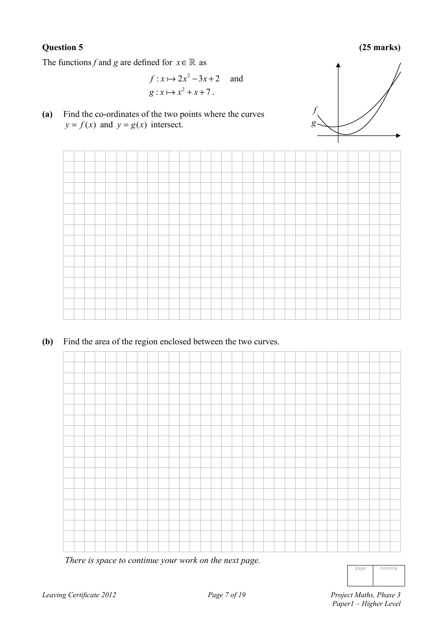### **Question 5 (25 marks)**

The functions *f* and *g* are defined for  $x \in \mathbb{R}$  as

$$
f: x \mapsto 2x^2 - 3x + 2 \quad \text{and}
$$

$$
g: x \mapsto x^2 + x + 7.
$$

**(a)** Find the co-ordinates of the two points where the curves  $y = f(x)$  and  $y = g(x)$  intersect.





**(b)** Find the area of the region enclosed between the two curves.



*There is space to continue your work on the next page.* 

| nane | running |
|------|---------|
|      |         |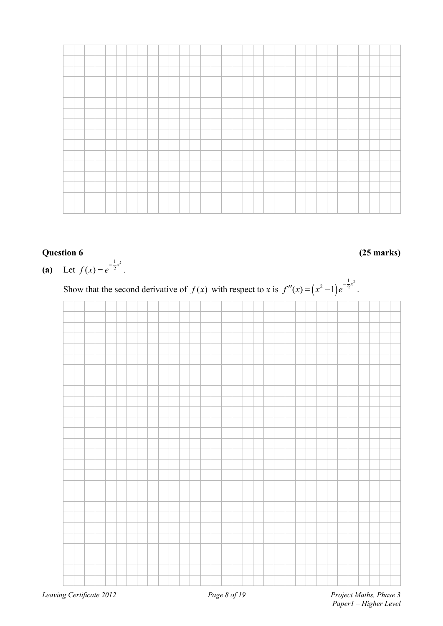### **Question 6 (25 marks)**

**(a)** Let  $f(x) = e^{-\frac{1}{2}x^2}$ .

Show that the second derivative of  $f(x)$  with respect to *x* is  $f''(x) = (x^2 - 1)$  $f''(x) = (x^2 - 1)e^{-\frac{1}{2}x^2}$ .

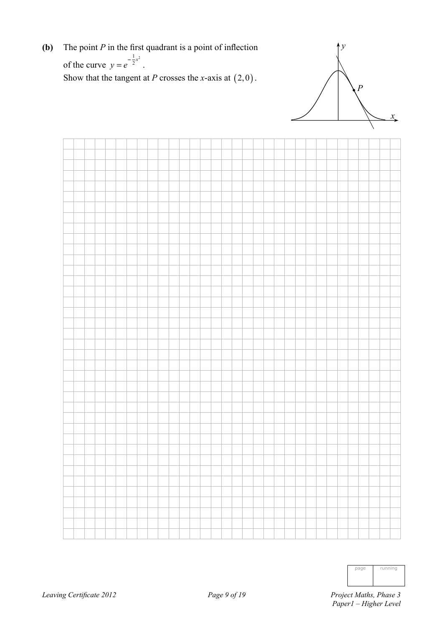**(b)** The point *P* in the first quadrant is a point of inflection of the curve  $1_{22}$  $y = e^{-\frac{1}{2}x^2}$ . Show that the tangent at *P* crosses the *x*-axis at  $(2,0)$ .





| -ne | running |
|-----|---------|
|     |         |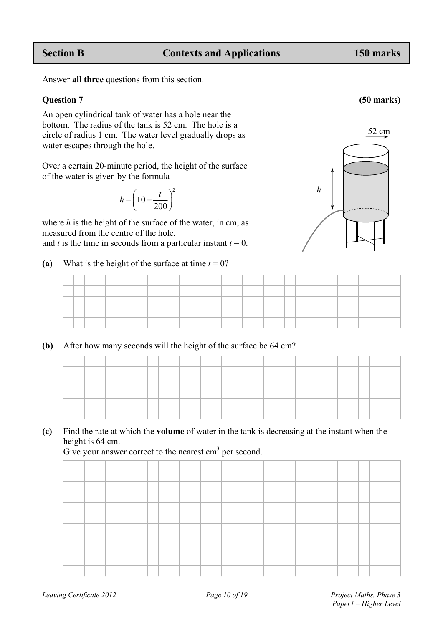Answer **all three** questions from this section.

### **Question 7 (50 marks)**

An open cylindrical tank of water has a hole near the bottom. The radius of the tank is 52 cm. The hole is a circle of radius 1 cm. The water level gradually drops as water escapes through the hole.

Over a certain 20-minute period, the height of the surface of the water is given by the formula

$$
h = \left(10 - \frac{t}{200}\right)^2
$$

where *h* is the height of the surface of the water, in cm, as measured from the centre of the hole,

and *t* is the time in seconds from a particular instant  $t = 0$ .

(a) What is the height of the surface at time  $t = 0$ ?



### **(b)** After how many seconds will the height of the surface be 64 cm?

### **(c)** Find the rate at which the **volume** of water in the tank is decreasing at the instant when the height is 64 cm.

Give your answer correct to the nearest  $\text{cm}^3$  per second.

52 cm



*h*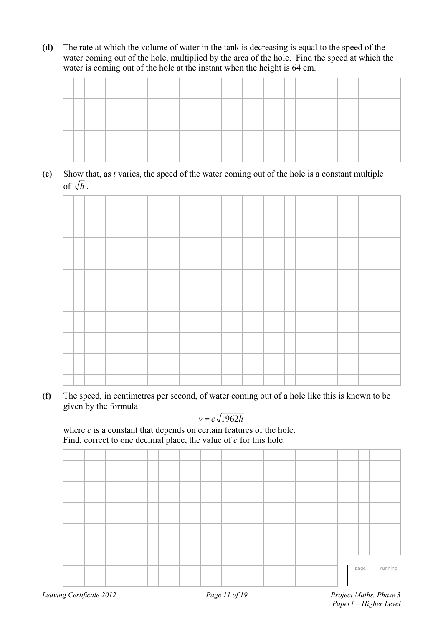**(d)** The rate at which the volume of water in the tank is decreasing is equal to the speed of the water coming out of the hole, multiplied by the area of the hole. Find the speed at which the water is coming out of the hole at the instant when the height is 64 cm.



**(e)** Show that, as *t* varies, the speed of the water coming out of the hole is a constant multiple of  $\sqrt{h}$ .



**(f)** The speed, in centimetres per second, of water coming out of a hole like this is known to be given by the formula

$$
v = c\sqrt{1962h}
$$

where *c* is a constant that depends on certain features of the hole. Find, correct to one decimal place, the value of *c* for this hole.

| Page 11 of 19 | Project Maths, Phase 3 |
|---------------|------------------------|
|               | running<br>page        |
|               |                        |
|               |                        |
|               |                        |
|               |                        |
|               |                        |
|               |                        |
|               |                        |
|               |                        |
|               |                        |
|               |                        |
|               |                        |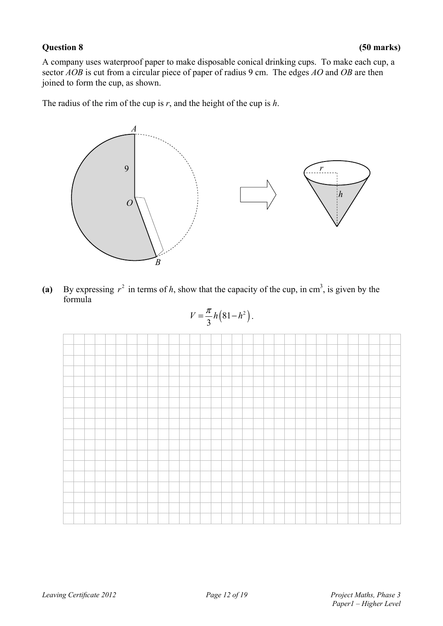A company uses waterproof paper to make disposable conical drinking cups. To make each cup, a sector *AOB* is cut from a circular piece of paper of radius 9 cm. The edges *AO* and *OB* are then joined to form the cup, as shown.

The radius of the rim of the cup is *r*, and the height of the cup is *h*.



(a) By expressing  $r^2$  in terms of *h*, show that the capacity of the cup, in cm<sup>3</sup>, is given by the formula

$$
V=\frac{\pi}{3}h\left(81-h^2\right).
$$

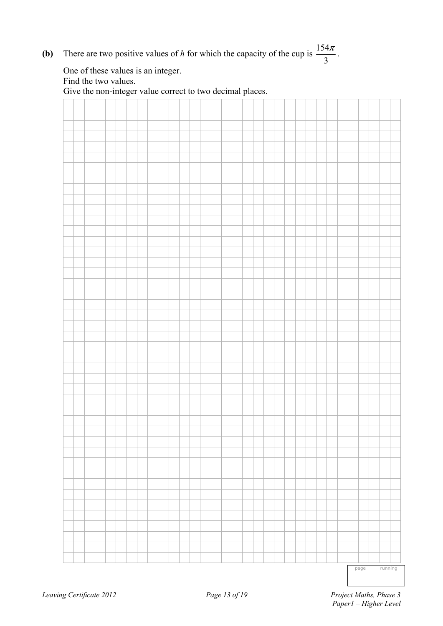**(b)** There are two positive values of *h* for which the capacity of the cup is  $\frac{154}{2}$  $\frac{\pi}{\pi}$ .

|  |  |  |  |  |  |  | Give the non-integer value correct to two decimal places. |  |  |  |  |  |  |  |  |
|--|--|--|--|--|--|--|-----------------------------------------------------------|--|--|--|--|--|--|--|--|
|  |  |  |  |  |  |  |                                                           |  |  |  |  |  |  |  |  |
|  |  |  |  |  |  |  |                                                           |  |  |  |  |  |  |  |  |
|  |  |  |  |  |  |  |                                                           |  |  |  |  |  |  |  |  |
|  |  |  |  |  |  |  |                                                           |  |  |  |  |  |  |  |  |
|  |  |  |  |  |  |  |                                                           |  |  |  |  |  |  |  |  |
|  |  |  |  |  |  |  |                                                           |  |  |  |  |  |  |  |  |
|  |  |  |  |  |  |  |                                                           |  |  |  |  |  |  |  |  |
|  |  |  |  |  |  |  |                                                           |  |  |  |  |  |  |  |  |
|  |  |  |  |  |  |  |                                                           |  |  |  |  |  |  |  |  |
|  |  |  |  |  |  |  |                                                           |  |  |  |  |  |  |  |  |
|  |  |  |  |  |  |  |                                                           |  |  |  |  |  |  |  |  |
|  |  |  |  |  |  |  |                                                           |  |  |  |  |  |  |  |  |
|  |  |  |  |  |  |  |                                                           |  |  |  |  |  |  |  |  |
|  |  |  |  |  |  |  |                                                           |  |  |  |  |  |  |  |  |
|  |  |  |  |  |  |  |                                                           |  |  |  |  |  |  |  |  |
|  |  |  |  |  |  |  |                                                           |  |  |  |  |  |  |  |  |
|  |  |  |  |  |  |  |                                                           |  |  |  |  |  |  |  |  |
|  |  |  |  |  |  |  |                                                           |  |  |  |  |  |  |  |  |
|  |  |  |  |  |  |  |                                                           |  |  |  |  |  |  |  |  |
|  |  |  |  |  |  |  |                                                           |  |  |  |  |  |  |  |  |
|  |  |  |  |  |  |  |                                                           |  |  |  |  |  |  |  |  |
|  |  |  |  |  |  |  |                                                           |  |  |  |  |  |  |  |  |
|  |  |  |  |  |  |  |                                                           |  |  |  |  |  |  |  |  |
|  |  |  |  |  |  |  |                                                           |  |  |  |  |  |  |  |  |
|  |  |  |  |  |  |  |                                                           |  |  |  |  |  |  |  |  |
|  |  |  |  |  |  |  |                                                           |  |  |  |  |  |  |  |  |
|  |  |  |  |  |  |  |                                                           |  |  |  |  |  |  |  |  |
|  |  |  |  |  |  |  |                                                           |  |  |  |  |  |  |  |  |
|  |  |  |  |  |  |  |                                                           |  |  |  |  |  |  |  |  |
|  |  |  |  |  |  |  |                                                           |  |  |  |  |  |  |  |  |
|  |  |  |  |  |  |  |                                                           |  |  |  |  |  |  |  |  |
|  |  |  |  |  |  |  |                                                           |  |  |  |  |  |  |  |  |
|  |  |  |  |  |  |  |                                                           |  |  |  |  |  |  |  |  |
|  |  |  |  |  |  |  |                                                           |  |  |  |  |  |  |  |  |
|  |  |  |  |  |  |  |                                                           |  |  |  |  |  |  |  |  |
|  |  |  |  |  |  |  |                                                           |  |  |  |  |  |  |  |  |
|  |  |  |  |  |  |  |                                                           |  |  |  |  |  |  |  |  |
|  |  |  |  |  |  |  |                                                           |  |  |  |  |  |  |  |  |
|  |  |  |  |  |  |  |                                                           |  |  |  |  |  |  |  |  |
|  |  |  |  |  |  |  |                                                           |  |  |  |  |  |  |  |  |
|  |  |  |  |  |  |  |                                                           |  |  |  |  |  |  |  |  |
|  |  |  |  |  |  |  |                                                           |  |  |  |  |  |  |  |  |
|  |  |  |  |  |  |  |                                                           |  |  |  |  |  |  |  |  |
|  |  |  |  |  |  |  |                                                           |  |  |  |  |  |  |  |  |
|  |  |  |  |  |  |  |                                                           |  |  |  |  |  |  |  |  |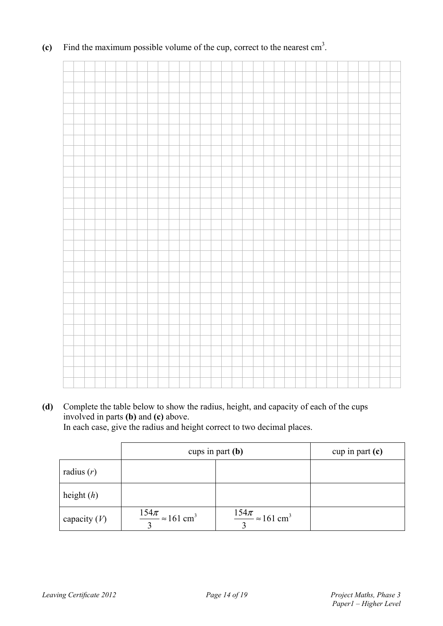(c) Find the maximum possible volume of the cup, correct to the nearest  $\text{cm}^3$ .

**(d)** Complete the table below to show the radius, height, and capacity of each of the cups involved in parts **(b)** and **(c)** above.

In each case, give the radius and height correct to two decimal places.

|                | cups in part $(b)$                          |                                             | cup in part $(c)$ |
|----------------|---------------------------------------------|---------------------------------------------|-------------------|
| radius $(r)$   |                                             |                                             |                   |
| height $(h)$   |                                             |                                             |                   |
| capacity $(V)$ | $\frac{154\pi}{2} \approx 161 \text{ cm}^3$ | $\frac{154\pi}{2} \approx 161 \text{ cm}^3$ |                   |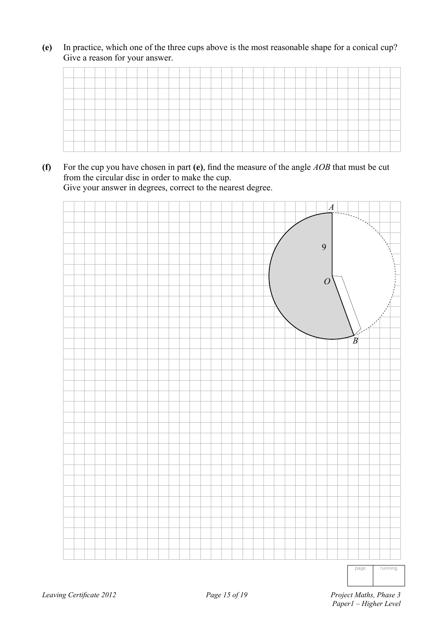**(e)** In practice, which one of the three cups above is the most reasonable shape for a conical cup? Give a reason for your answer.

| ______ |  |  |  |  |  |  |  |         |  |  |  |  |  |  |  |  |
|--------|--|--|--|--|--|--|--|---------|--|--|--|--|--|--|--|--|
|        |  |  |  |  |  |  |  |         |  |  |  |  |  |  |  |  |
|        |  |  |  |  |  |  |  |         |  |  |  |  |  |  |  |  |
|        |  |  |  |  |  |  |  |         |  |  |  |  |  |  |  |  |
|        |  |  |  |  |  |  |  |         |  |  |  |  |  |  |  |  |
|        |  |  |  |  |  |  |  | _______ |  |  |  |  |  |  |  |  |

**(f)** For the cup you have chosen in part **(e)**, find the measure of the angle *AOB* that must be cut from the circular disc in order to make the cup. Give your answer in degrees, correct to the nearest degree.



page running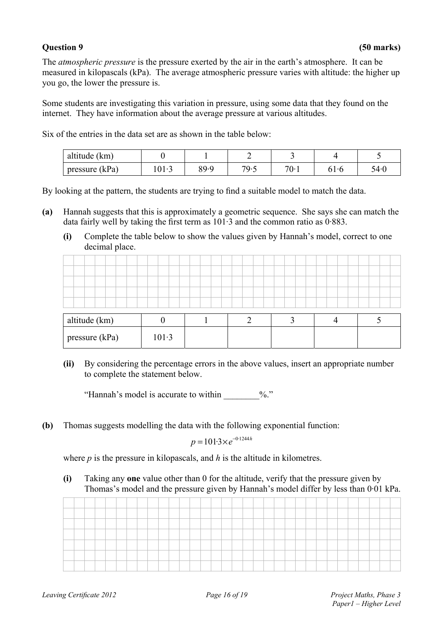### **Question 9 (50 marks)**

The *atmospheric pressure* is the pressure exerted by the air in the earth's atmosphere. It can be measured in kilopascals (kPa). The average atmospheric pressure varies with altitude: the higher up you go, the lower the pressure is.

Some students are investigating this variation in pressure, using some data that they found on the internet. They have information about the average pressure at various altitudes.

Six of the entries in the data set are as shown in the table below:

| altitude (km)    |       |      |     |           |      |      |
|------------------|-------|------|-----|-----------|------|------|
| pressure $(kPa)$ | 101.3 | QQ.Q | 70. | 70.7<br>v | 01.0 | 54۰( |

By looking at the pattern, the students are trying to find a suitable model to match the data.

- **(a)** Hannah suggests that this is approximately a geometric sequence. She says she can match the data fairly well by taking the first term as  $101.3$  and the common ratio as  $0.883$ .
	- **(i)** Complete the table below to show the values given by Hannah's model, correct to one decimal place.

| altitude (km)  |       |  |  |
|----------------|-------|--|--|
| pressure (kPa) | 101.3 |  |  |

**(ii)** By considering the percentage errors in the above values, insert an appropriate number to complete the statement below.

"Hannah's model is accurate to within  $\%$ ."

**(b)** Thomas suggests modelling the data with the following exponential function:

 $p = 101.3 \times e^{-0.1244h}$ 

where *p* is the pressure in kilopascals, and *h* is the altitude in kilometres.

**(i)** Taking any **one** value other than 0 for the altitude, verify that the pressure given by Thomas's model and the pressure given by Hannah's model differ by less than 0·01 kPa.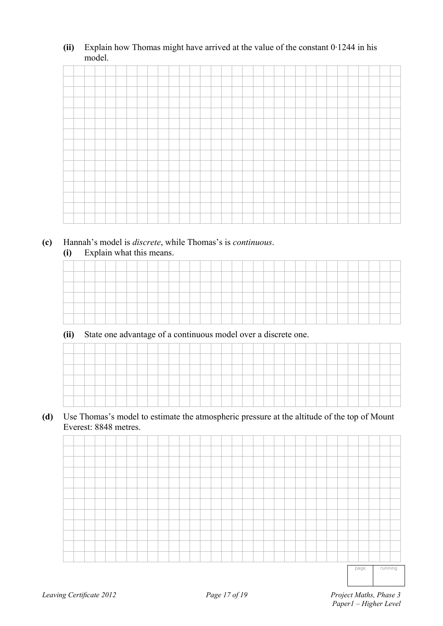**(ii)** Explain how Thomas might have arrived at the value of the constant 0·1244 in his model.

**(c)** Hannah's model is *discrete*, while Thomas's is *continuous*. **(i)** Explain what this means.

**(ii)** State one advantage of a continuous model over a discrete one.

**(d)** Use Thomas's model to estimate the atmospheric pressure at the altitude of the top of Mount Everest: 8848 metres.

|  |  |  |  |  |  |  |  |  |  |  |  |  |  |  | the company of the company of the company of the company of the company of the company of |  |
|--|--|--|--|--|--|--|--|--|--|--|--|--|--|--|-------------------------------------------------------------------------------------------|--|

page running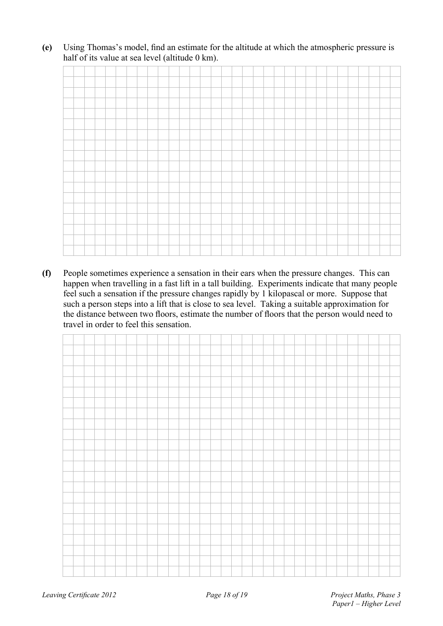**(e)** Using Thomas's model, find an estimate for the altitude at which the atmospheric pressure is half of its value at sea level (altitude 0 km).

**(f)** People sometimes experience a sensation in their ears when the pressure changes. This can happen when travelling in a fast lift in a tall building. Experiments indicate that many people feel such a sensation if the pressure changes rapidly by 1 kilopascal or more. Suppose that such a person steps into a lift that is close to sea level. Taking a suitable approximation for the distance between two floors, estimate the number of floors that the person would need to travel in order to feel this sensation.

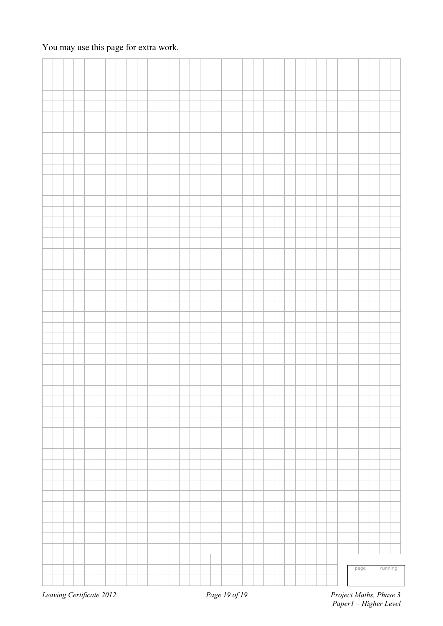### You may use this page for extra work.

|  |  |  |  |  |  |  |  |  |  |  |  |  |  |  | page | running |
|--|--|--|--|--|--|--|--|--|--|--|--|--|--|--|------|---------|
|  |  |  |  |  |  |  |  |  |  |  |  |  |  |  |      |         |
|  |  |  |  |  |  |  |  |  |  |  |  |  |  |  |      |         |